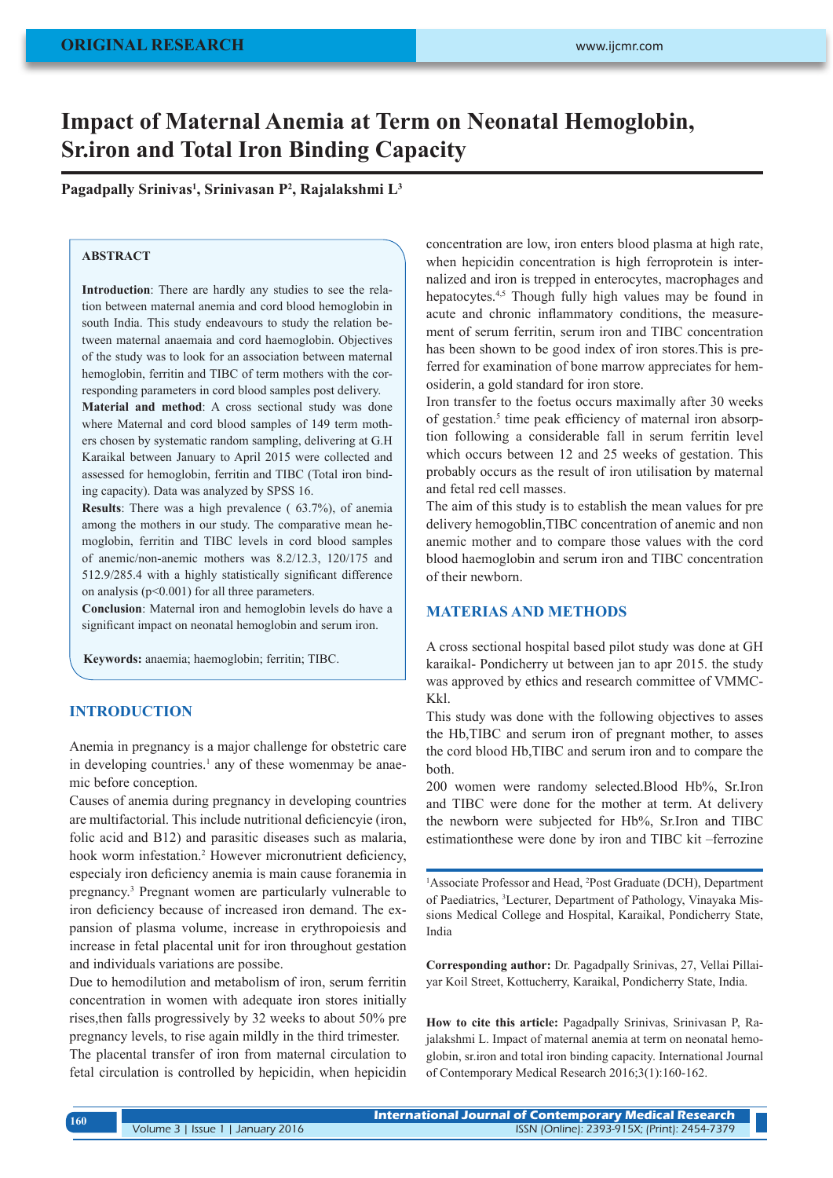# **Impact of Maternal Anemia at Term on Neonatal Hemoglobin, Sr.iron and Total Iron Binding Capacity**

**Pagadpally Srinivas1 , Srinivasan P2 , Rajalakshmi L3**

## **ABSTRACT**

**Introduction**: There are hardly any studies to see the relation between maternal anemia and cord blood hemoglobin in south India. This study endeavours to study the relation between maternal anaemaia and cord haemoglobin. Objectives of the study was to look for an association between maternal hemoglobin, ferritin and TIBC of term mothers with the corresponding parameters in cord blood samples post delivery.

**Material and method**: A cross sectional study was done where Maternal and cord blood samples of 149 term mothers chosen by systematic random sampling, delivering at G.H Karaikal between January to April 2015 were collected and assessed for hemoglobin, ferritin and TIBC (Total iron binding capacity). Data was analyzed by SPSS 16.

**Results**: There was a high prevalence ( 63.7%), of anemia among the mothers in our study. The comparative mean hemoglobin, ferritin and TIBC levels in cord blood samples of anemic/non-anemic mothers was 8.2/12.3, 120/175 and 512.9/285.4 with a highly statistically significant difference on analysis ( $p<0.001$ ) for all three parameters.

**Conclusion**: Maternal iron and hemoglobin levels do have a significant impact on neonatal hemoglobin and serum iron.

**Keywords:** anaemia; haemoglobin; ferritin; TIBC.

# **INTRODUCTION**

Anemia in pregnancy is a major challenge for obstetric care in developing countries.<sup>1</sup> any of these womenmay be anaemic before conception.

Causes of anemia during pregnancy in developing countries are multifactorial. This include nutritional deficiencyie (iron, folic acid and B12) and parasitic diseases such as malaria, hook worm infestation.<sup>2</sup> However micronutrient deficiency, especialy iron deficiency anemia is main cause foranemia in pregnancy.3 Pregnant women are particularly vulnerable to iron deficiency because of increased iron demand. The expansion of plasma volume, increase in erythropoiesis and increase in fetal placental unit for iron throughout gestation and individuals variations are possibe.

Due to hemodilution and metabolism of iron, serum ferritin concentration in women with adequate iron stores initially rises,then falls progressively by 32 weeks to about 50% pre pregnancy levels, to rise again mildly in the third trimester.

The placental transfer of iron from maternal circulation to fetal circulation is controlled by hepicidin, when hepicidin concentration are low, iron enters blood plasma at high rate, when hepicidin concentration is high ferroprotein is internalized and iron is trepped in enterocytes, macrophages and hepatocytes.<sup>4,5</sup> Though fully high values may be found in acute and chronic inflammatory conditions, the measurement of serum ferritin, serum iron and TIBC concentration has been shown to be good index of iron stores.This is preferred for examination of bone marrow appreciates for hemosiderin, a gold standard for iron store.

Iron transfer to the foetus occurs maximally after 30 weeks of gestation.<sup>5</sup> time peak efficiency of maternal iron absorption following a considerable fall in serum ferritin level which occurs between 12 and 25 weeks of gestation. This probably occurs as the result of iron utilisation by maternal and fetal red cell masses.

The aim of this study is to establish the mean values for pre delivery hemogoblin,TIBC concentration of anemic and non anemic mother and to compare those values with the cord blood haemoglobin and serum iron and TIBC concentration of their newborn.

## **MATERIAS AND METHODS**

A cross sectional hospital based pilot study was done at GH karaikal- Pondicherry ut between jan to apr 2015. the study was approved by ethics and research committee of VMMC-Kkl.

This study was done with the following objectives to asses the Hb,TIBC and serum iron of pregnant mother, to asses the cord blood Hb,TIBC and serum iron and to compare the both.

200 women were randomy selected.Blood Hb%, Sr.Iron and TIBC were done for the mother at term. At delivery the newborn were subjected for Hb%, Sr.Iron and TIBC estimationthese were done by iron and TIBC kit –ferrozine

<sup>1</sup>Associate Professor and Head, <sup>2</sup>Post Graduate (DCH), Department of Paediatrics, <sup>3</sup>Lecturer, Department of Pathology, Vinayaka Missions Medical College and Hospital, Karaikal, Pondicherry State, India

**Corresponding author:** Dr. Pagadpally Srinivas, 27, Vellai Pillaiyar Koil Street, Kottucherry, Karaikal, Pondicherry State, India.

**How to cite this article:** Pagadpally Srinivas, Srinivasan P, Rajalakshmi L. Impact of maternal anemia at term on neonatal hemoglobin, sr.iron and total iron binding capacity. International Journal of Contemporary Medical Research 2016;3(1):160-162.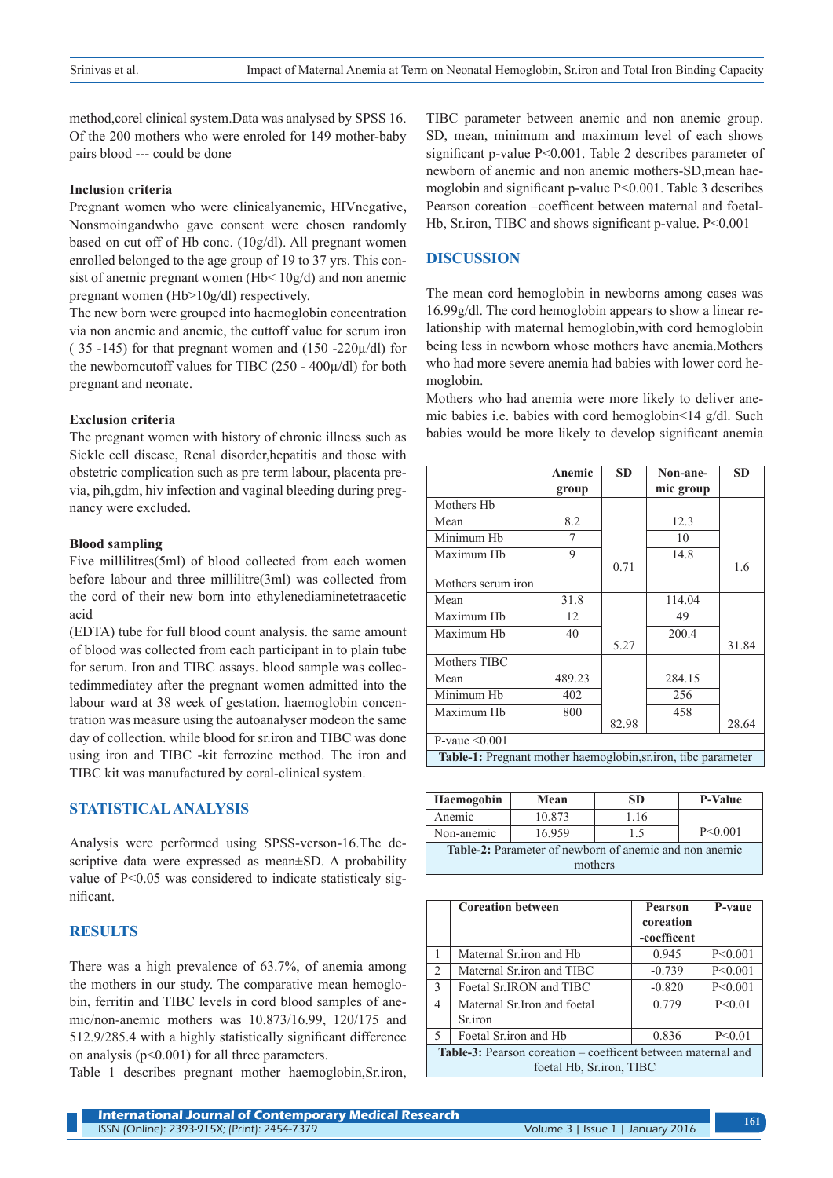method,corel clinical system.Data was analysed by SPSS 16. Of the 200 mothers who were enroled for 149 mother-baby pairs blood --- could be done

#### **Inclusion criteria**

Pregnant women who were clinicalyanemic**,** HIVnegative**,**  Nonsmoingandwho gave consent were chosen randomly based on cut off of Hb conc. (10g/dl). All pregnant women enrolled belonged to the age group of 19 to 37 yrs. This consist of anemic pregnant women (Hb< 10g/d) and non anemic pregnant women (Hb>10g/dl) respectively.

The new born were grouped into haemoglobin concentration via non anemic and anemic, the cuttoff value for serum iron ( 35 -145) for that pregnant women and (150 -220 $\mu$ /dl) for the newborncutoff values for TIBC  $(250 - 400\mu/d)$  for both pregnant and neonate.

#### **Exclusion criteria**

The pregnant women with history of chronic illness such as Sickle cell disease, Renal disorder,hepatitis and those with obstetric complication such as pre term labour, placenta previa, pih,gdm, hiv infection and vaginal bleeding during pregnancy were excluded.

#### **Blood sampling**

Five millilitres(5ml) of blood collected from each women before labour and three millilitre(3ml) was collected from the cord of their new born into ethylenediaminetetraacetic acid

(EDTA) tube for full blood count analysis. the same amount of blood was collected from each participant in to plain tube for serum. Iron and TIBC assays. blood sample was collectedimmediatey after the pregnant women admitted into the labour ward at 38 week of gestation. haemoglobin concentration was measure using the autoanalyser modeon the same day of collection. while blood for sr.iron and TIBC was done using iron and TIBC -kit ferrozine method. The iron and TIBC kit was manufactured by coral-clinical system.

## **STATISTICAL ANALYSIS**

Analysis were performed using SPSS-verson-16.The descriptive data were expressed as mean±SD. A probability value of P<0.05 was considered to indicate statisticaly significant.

# **RESULTS**

There was a high prevalence of 63.7%, of anemia among the mothers in our study. The comparative mean hemoglobin, ferritin and TIBC levels in cord blood samples of anemic/non-anemic mothers was 10.873/16.99, 120/175 and 512.9/285.4 with a highly statistically significant difference on analysis ( $p<0.001$ ) for all three parameters.

Table 1 describes pregnant mother haemoglobin,Sr.iron,

TIBC parameter between anemic and non anemic group. SD, mean, minimum and maximum level of each shows significant p-value P<0.001. Table 2 describes parameter of newborn of anemic and non anemic mothers-SD,mean haemoglobin and significant p-value P<0.001. Table 3 describes Pearson coreation –coefficent between maternal and foetal-Hb, Sr.iron, TIBC and shows significant p-value. P<0.001

#### **DISCUSSION**

The mean cord hemoglobin in newborns among cases was 16.99g/dl. The cord hemoglobin appears to show a linear relationship with maternal hemoglobin,with cord hemoglobin being less in newborn whose mothers have anemia.Mothers who had more severe anemia had babies with lower cord hemoglobin.

Mothers who had anemia were more likely to deliver anemic babies i.e. babies with cord hemoglobin<14 g/dl. Such babies would be more likely to develop significant anemia

|                                                               | Anemic | <b>SD</b> | Non-ane-  | <b>SD</b> |  |  |
|---------------------------------------------------------------|--------|-----------|-----------|-----------|--|--|
|                                                               | group  |           | mic group |           |  |  |
| Mothers Hb                                                    |        |           |           |           |  |  |
| Mean                                                          | 8.2    |           | 12.3      |           |  |  |
| Minimum Hb                                                    | 7      |           | 10        |           |  |  |
| Maximum Hh                                                    | 9      |           | 14.8      |           |  |  |
|                                                               |        | 0.71      |           | 1.6       |  |  |
| Mothers serum iron                                            |        |           |           |           |  |  |
| Mean                                                          | 31.8   |           | 114.04    |           |  |  |
| Maximum Hh                                                    | 12     |           | 49        |           |  |  |
| Maximum Hh                                                    | 40     |           | 200.4     |           |  |  |
|                                                               |        | 5.27      |           | 31.84     |  |  |
| Mothers TIBC                                                  |        |           |           |           |  |  |
| Mean                                                          | 489.23 |           | 284.15    |           |  |  |
| Minimum Hb                                                    | 402    |           | 256       |           |  |  |
| Maximum Hb                                                    | 800    |           | 458       |           |  |  |
|                                                               |        | 82.98     |           | 28.64     |  |  |
| P-vaue $\leq 0.001$                                           |        |           |           |           |  |  |
| Table-1: Pregnant mother haemoglobin, sr.iron, tibc parameter |        |           |           |           |  |  |

| Haemogobin                                                    | Mean   | SD   | <b>P-Value</b> |  |  |  |
|---------------------------------------------------------------|--------|------|----------------|--|--|--|
| Anemic                                                        | 10.873 | 1.16 |                |  |  |  |
| Non-anemic                                                    | 16.959 | 15   | P < 0.001      |  |  |  |
| <b>Table-2:</b> Parameter of newborn of anemic and non anemic |        |      |                |  |  |  |
| mothers                                                       |        |      |                |  |  |  |

|                                                                     | <b>Coreation between</b>     | <b>Pearson</b> | P-vaue    |  |  |
|---------------------------------------------------------------------|------------------------------|----------------|-----------|--|--|
|                                                                     |                              | coreation      |           |  |  |
|                                                                     |                              | -coefficent    |           |  |  |
|                                                                     | Maternal Sr.iron and Hb      | 0.945          | P < 0.001 |  |  |
| 2                                                                   | Maternal Sr. iron and TIBC   | $-0.739$       | P < 0.001 |  |  |
| $\mathcal{E}$                                                       | Foetal Sr.IRON and TIBC      | $-0.820$       | P < 0.001 |  |  |
| 4                                                                   | Maternal Sr. Iron and foetal | 0.779          | P < 0.01  |  |  |
|                                                                     | <b>Sr.</b> iron              |                |           |  |  |
| 5                                                                   | Foetal Sr.iron and Hb        | 0.836          | P < 0.01  |  |  |
| <b>Table-3:</b> Pearson coreation – coefficent between maternal and |                              |                |           |  |  |
| foetal Hb, Sr.iron, TIBC                                            |                              |                |           |  |  |